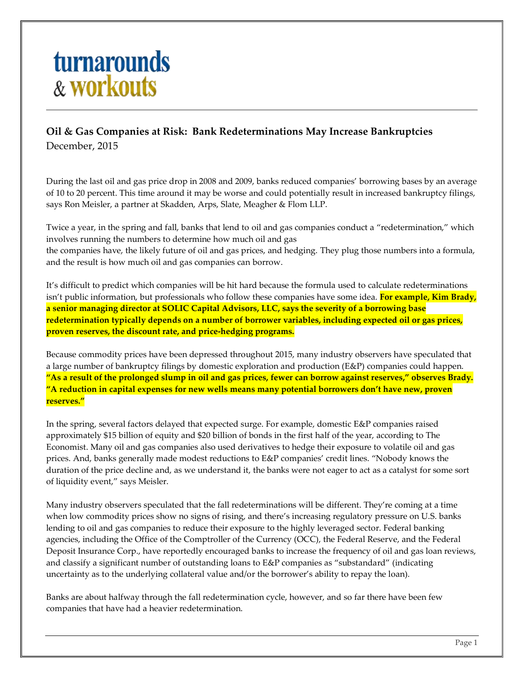## **turnarounds** & workouts

## **Oil & Gas Companies at Risk: Bank Redeterminations May Increase Bankruptcies** December, 2015

During the last oil and gas price drop in 2008 and 2009, banks reduced companies' borrowing bases by an average of 10 to 20 percent. This time around it may be worse and could potentially result in increased bankruptcy filings, says Ron Meisler, a partner at Skadden, Arps, Slate, Meagher & Flom LLP.

Twice a year, in the spring and fall, banks that lend to oil and gas companies conduct a "redetermination," which involves running the numbers to determine how much oil and gas the companies have, the likely future of oil and gas prices, and hedging. They plug those numbers into a formula, and the result is how much oil and gas companies can borrow.

It's difficult to predict which companies will be hit hard because the formula used to calculate redeterminations isn't public information, but professionals who follow these companies have some idea. **For example, Kim Brady, a senior managing director at SOLIC Capital Advisors, LLC, says the severity of a borrowing base redetermination typically depends on a number of borrower variables, including expected oil or gas prices, proven reserves, the discount rate, and price-hedging programs.**

Because commodity prices have been depressed throughout 2015, many industry observers have speculated that a large number of bankruptcy filings by domestic exploration and production (E&P) companies could happen. **"As a result of the prolonged slump in oil and gas prices, fewer can borrow against reserves," observes Brady. "A reduction in capital expenses for new wells means many potential borrowers don't have new, proven reserves."**

In the spring, several factors delayed that expected surge. For example, domestic E&P companies raised approximately \$15 billion of equity and \$20 billion of bonds in the first half of the year, according to The Economist. Many oil and gas companies also used derivatives to hedge their exposure to volatile oil and gas prices. And, banks generally made modest reductions to E&P companies' credit lines. "Nobody knows the duration of the price decline and, as we understand it, the banks were not eager to act as a catalyst for some sort of liquidity event," says Meisler.

Many industry observers speculated that the fall redeterminations will be different. They're coming at a time when low commodity prices show no signs of rising, and there's increasing regulatory pressure on U.S. banks lending to oil and gas companies to reduce their exposure to the highly leveraged sector. Federal banking agencies, including the Office of the Comptroller of the Currency (OCC), the Federal Reserve, and the Federal Deposit Insurance Corp., have reportedly encouraged banks to increase the frequency of oil and gas loan reviews, and classify a significant number of outstanding loans to E&P companies as "substandard" (indicating uncertainty as to the underlying collateral value and/or the borrower's ability to repay the loan).

Banks are about halfway through the fall redetermination cycle, however, and so far there have been few companies that have had a heavier redetermination.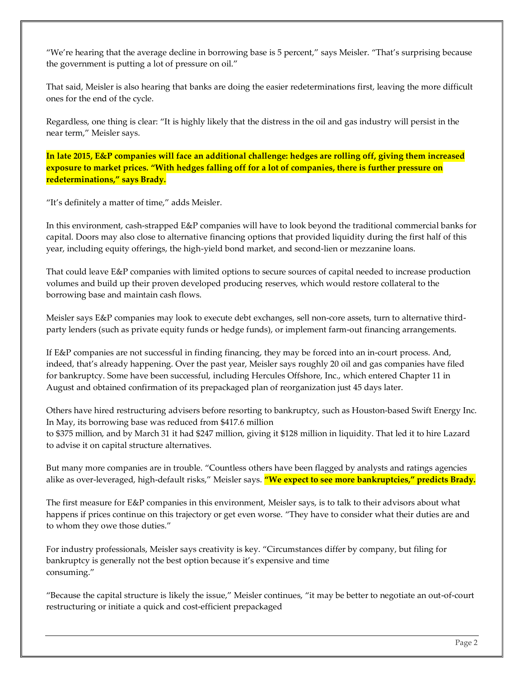"We're hearing that the average decline in borrowing base is 5 percent," says Meisler. "That's surprising because the government is putting a lot of pressure on oil."

That said, Meisler is also hearing that banks are doing the easier redeterminations first, leaving the more difficult ones for the end of the cycle.

Regardless, one thing is clear: "It is highly likely that the distress in the oil and gas industry will persist in the near term," Meisler says.

**In late 2015, E&P companies will face an additional challenge: hedges are rolling off, giving them increased exposure to market prices. "With hedges falling off for a lot of companies, there is further pressure on redeterminations," says Brady.**

"It's definitely a matter of time," adds Meisler.

In this environment, cash-strapped E&P companies will have to look beyond the traditional commercial banks for capital. Doors may also close to alternative financing options that provided liquidity during the first half of this year, including equity offerings, the high-yield bond market, and second-lien or mezzanine loans.

That could leave E&P companies with limited options to secure sources of capital needed to increase production volumes and build up their proven developed producing reserves, which would restore collateral to the borrowing base and maintain cash flows.

Meisler says E&P companies may look to execute debt exchanges, sell non-core assets, turn to alternative thirdparty lenders (such as private equity funds or hedge funds), or implement farm-out financing arrangements.

If E&P companies are not successful in finding financing, they may be forced into an in-court process. And, indeed, that's already happening. Over the past year, Meisler says roughly 20 oil and gas companies have filed for bankruptcy. Some have been successful, including Hercules Offshore, Inc., which entered Chapter 11 in August and obtained confirmation of its prepackaged plan of reorganization just 45 days later.

Others have hired restructuring advisers before resorting to bankruptcy, such as Houston-based Swift Energy Inc. In May, its borrowing base was reduced from \$417.6 million to \$375 million, and by March 31 it had \$247 million, giving it \$128 million in liquidity. That led it to hire Lazard to advise it on capital structure alternatives.

But many more companies are in trouble. "Countless others have been flagged by analysts and ratings agencies alike as over-leveraged, high-default risks," Meisler says. **"We expect to see more bankruptcies," predicts Brady.**

The first measure for E&P companies in this environment, Meisler says, is to talk to their advisors about what happens if prices continue on this trajectory or get even worse. "They have to consider what their duties are and to whom they owe those duties."

For industry professionals, Meisler says creativity is key. "Circumstances differ by company, but filing for bankruptcy is generally not the best option because it's expensive and time consuming."

"Because the capital structure is likely the issue," Meisler continues, "it may be better to negotiate an out-of-court restructuring or initiate a quick and cost-efficient prepackaged